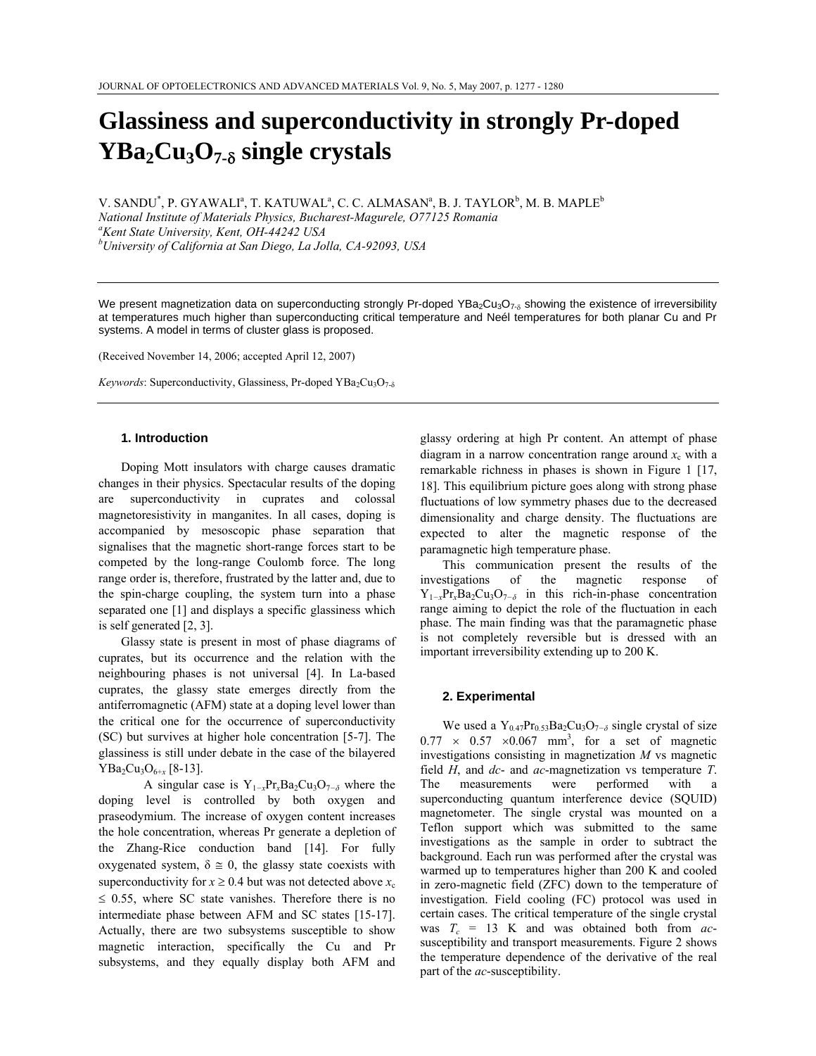# **Glassiness and superconductivity in strongly Pr-doped YBa2Cu3O7-**δ **single crystals**

V. SANDU<sup>\*</sup>, P. GYAWALI<sup>a</sup>, T. KATUWAL<sup>a</sup>, C. C. ALMASAN<sup>a</sup>, B. J. TAYLOR<sup>b</sup>, M. B. MAPLE<sup>b</sup>

*National Institute of Materials Physics, Bucharest-Magurele, O77125 Romania a Kent State University, Kent, OH-44242 USA* 

*b University of California at San Diego, La Jolla, CA-92093, USA* 

We present magnetization data on superconducting strongly Pr-doped YBa<sub>2</sub>Cu<sub>3</sub>O<sub>7-δ</sub> showing the existence of irreversibility at temperatures much higher than superconducting critical temperature and Neél temperatures for both planar Cu and Pr systems. A model in terms of cluster glass is proposed.

(Received November 14, 2006; accepted April 12, 2007)

*Keywords*: Superconductivity, Glassiness, Pr-doped YBa<sub>2</sub>Cu<sub>3</sub>O<sub>7-δ</sub>

## **1. Introduction**

Doping Mott insulators with charge causes dramatic changes in their physics. Spectacular results of the doping are superconductivity in cuprates and colossal magnetoresistivity in manganites. In all cases, doping is accompanied by mesoscopic phase separation that signalises that the magnetic short-range forces start to be competed by the long-range Coulomb force. The long range order is, therefore, frustrated by the latter and, due to the spin-charge coupling, the system turn into a phase separated one [1] and displays a specific glassiness which is self generated [2, 3].

Glassy state is present in most of phase diagrams of cuprates, but its occurrence and the relation with the neighbouring phases is not universal [4]. In La-based cuprates, the glassy state emerges directly from the antiferromagnetic (AFM) state at a doping level lower than the critical one for the occurrence of superconductivity (SC) but survives at higher hole concentration [5-7]. The glassiness is still under debate in the case of the bilayered YBa2Cu3O6+*x* [8-13].

 A singular case is Y1*−x*Pr*x*Ba2Cu3O7*−δ* where the doping level is controlled by both oxygen and praseodymium. The increase of oxygen content increases the hole concentration, whereas Pr generate a depletion of the Zhang-Rice conduction band [14]. For fully oxygenated system,  $\delta \approx 0$ , the glassy state coexists with superconductivity for  $x \ge 0.4$  but was not detected above  $x_c$  $\leq$  0.55, where SC state vanishes. Therefore there is no intermediate phase between AFM and SC states [15-17]. Actually, there are two subsystems susceptible to show magnetic interaction, specifically the Cu and Pr subsystems, and they equally display both AFM and

glassy ordering at high Pr content. An attempt of phase diagram in a narrow concentration range around  $x_c$  with a remarkable richness in phases is shown in Figure 1 [17, 18]. This equilibrium picture goes along with strong phase fluctuations of low symmetry phases due to the decreased dimensionality and charge density. The fluctuations are expected to alter the magnetic response of the paramagnetic high temperature phase.

This communication present the results of the investigations of the magnetic response of  $Y_{1-x}Pr_xBa_2Cu_3O_{7-\delta}$  in this rich-in-phase concentration range aiming to depict the role of the fluctuation in each phase. The main finding was that the paramagnetic phase is not completely reversible but is dressed with an important irreversibility extending up to 200 K.

## **2. Experimental**

We used a Y<sub>0.47</sub>Pr<sub>0.53</sub>Ba<sub>2</sub>Cu<sub>3</sub>O<sub>7−δ</sub> single crystal of size  $0.77 \times 0.57 \times 0.067$  mm<sup>3</sup>, for a set of magnetic investigations consisting in magnetization *M* vs magnetic field *H*, and *dc*- and *ac*-magnetization vs temperature *T*. The measurements were performed with a superconducting quantum interference device (SQUID) magnetometer. The single crystal was mounted on a Teflon support which was submitted to the same investigations as the sample in order to subtract the background. Each run was performed after the crystal was warmed up to temperatures higher than 200 K and cooled in zero-magnetic field (ZFC) down to the temperature of investigation. Field cooling (FC) protocol was used in certain cases. The critical temperature of the single crystal was  $T_c = 13$  K and was obtained both from *ac*susceptibility and transport measurements. Figure 2 shows the temperature dependence of the derivative of the real part of the *ac*-susceptibility.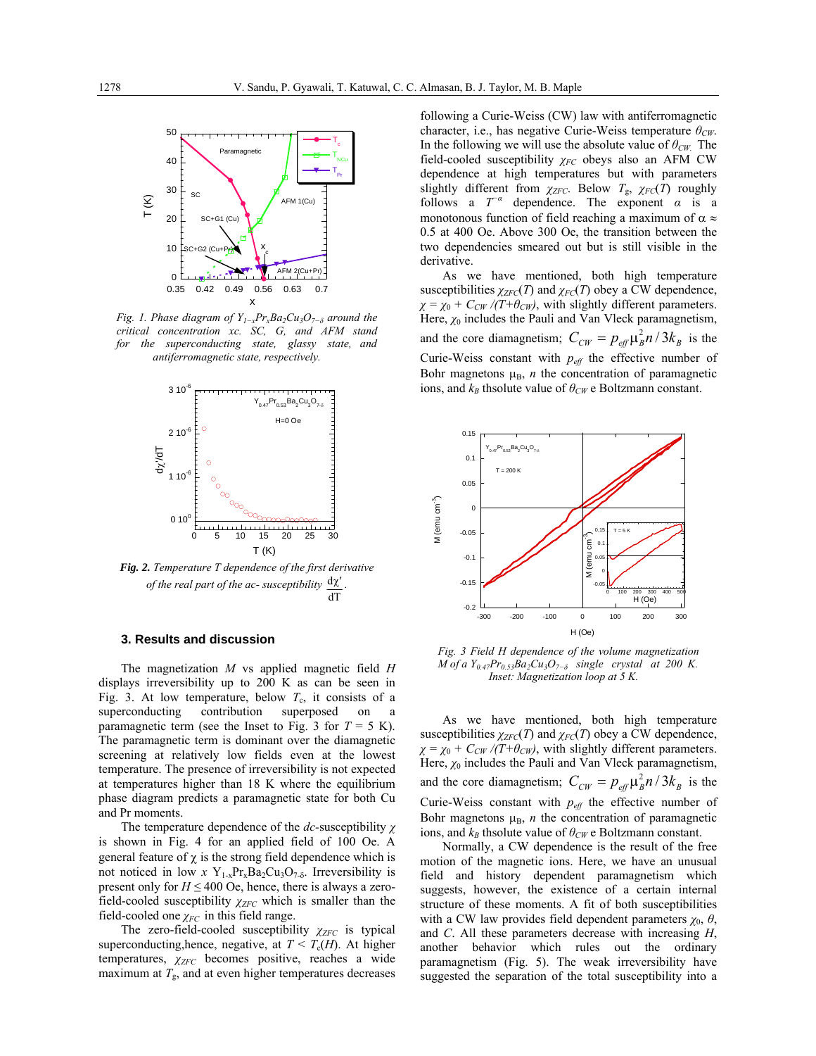

*Fig. 1. Phase diagram of Y<sub>1-</sub>xPr<sub>x</sub>Ba<sub>2</sub>Cu<sub>3</sub>O<sub>7</sub><sup><i>−*<sub>δ</sub></sup> around the *critical concentration xc. SC, G, and AFM stand for the superconducting state, glassy state, and antiferromagnetic state, respectively.* 



*Fig. 2. Temperature T dependence of the first derivative of the real part of the ac- susceptibility* d χ′ *.*  dT

#### **3. Results and discussion**

The magnetization *M* vs applied magnetic field *H*  displays irreversibility up to 200 K as can be seen in Fig. 3. At low temperature, below  $T_c$ , it consists of a superconducting contribution superposed on a paramagnetic term (see the Inset to Fig. 3 for  $T = 5$  K). The paramagnetic term is dominant over the diamagnetic screening at relatively low fields even at the lowest temperature. The presence of irreversibility is not expected at temperatures higher than 18 K where the equilibrium phase diagram predicts a paramagnetic state for both Cu and Pr moments.

The temperature dependence of the *dc-*susceptibility *χ* is shown in Fig. 4 for an applied field of 100 Oe. A general feature of  $\chi$  is the strong field dependence which is not noticed in low *x* Y<sub>1-x</sub>Pr<sub>x</sub>Ba<sub>2</sub>Cu<sub>3</sub>O<sub>7-δ</sub>. Irreversibility is present only for  $H \leq 400$  Oe, hence, there is always a zerofield-cooled susceptibility  $\chi_{ZFC}$  which is smaller than the field-cooled one  $\chi_{FC}$  in this field range.

The zero-field-cooled susceptibility  $χ_{ZFC}$  is typical superconducting,hence, negative, at  $T < T_c(H)$ . At higher temperatures,  $χ<sub>ZFC</sub>$  becomes positive, reaches a wide maximum at  $T_{\rm g}$ , and at even higher temperatures decreases following a Curie-Weiss (CW) law with antiferromagnetic character, i.e., has negative Curie-Weiss temperature *θCW*. In the following we will use the absolute value of *θCW.* The field-cooled susceptibility *χFC* obeys also an AFM CW dependence at high temperatures but with parameters slightly different from  $\chi_{ZFC}$ . Below  $T_g$ ,  $\chi_{FC}(T)$  roughly follows a  $T^-\alpha$  dependence. The exponent  $\alpha$  is a monotonous function of field reaching a maximum of  $\alpha \approx$ 0.5 at 400 Oe. Above 300 Oe, the transition between the two dependencies smeared out but is still visible in the derivative.

As we have mentioned, both high temperature susceptibilities  $\chi_{ZFC}(T)$  and  $\chi_{FC}(T)$  obey a CW dependence,  $\chi = \chi_0 + C_{CW} / (T + \theta_{CW})$ , with slightly different parameters. Here,  $\chi_0$  includes the Pauli and Van Vleck paramagnetism, and the core diamagnetism;  $C_{CW} = p_{\text{eff}} \mu_B^2 n / 3k_B$  is the Curie-Weiss constant with  $p_{\text{eff}}$  the effective number of Bohr magnetons  $\mu_B$ , *n* the concentration of paramagnetic ions, and  $k_B$  thsolute value of  $\theta_{CW}$  e Boltzmann constant.



*Fig. 3 Field H dependence of the volume magnetization M of a Y0.47Pr0.53Ba2Cu3O7−δ single crystal at 200 K. Inset: Magnetization loop at 5 K.* 

As we have mentioned, both high temperature susceptibilities  $\chi_{ZFC}(T)$  and  $\chi_{FC}(T)$  obey a CW dependence,  $\chi = \chi_0 + C_{CW} / (T + \theta_{CW})$ , with slightly different parameters. Here,  $\chi_0$  includes the Pauli and Van Vleck paramagnetism, and the core diamagnetism;  $C_{CW} = p_{\text{eff}} \mu_B^2 n / 3k_B$  is the Curie-Weiss constant with  $p_{\text{eff}}$  the effective number of Bohr magnetons  $\mu_B$ , *n* the concentration of paramagnetic ions, and  $k_B$  thsolute value of  $\theta_{CW}$  e Boltzmann constant.

Normally, a CW dependence is the result of the free motion of the magnetic ions. Here, we have an unusual field and history dependent paramagnetism which suggests, however, the existence of a certain internal structure of these moments. A fit of both susceptibilities with a CW law provides field dependent parameters  $\chi_0$ ,  $\theta$ , and *C*. All these parameters decrease with increasing *H*, another behavior which rules out the ordinary paramagnetism (Fig. 5). The weak irreversibility have suggested the separation of the total susceptibility into a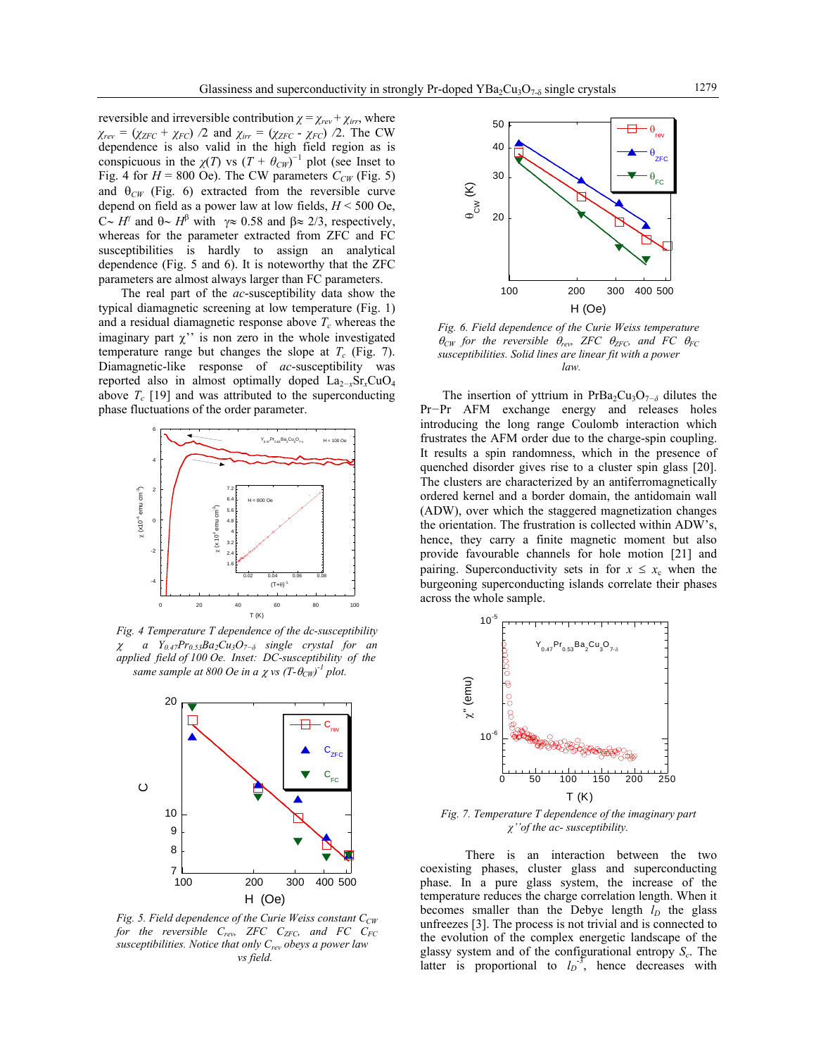reversible and irreversible contribution  $\chi = \chi_{rev} + \chi_{irr}$ , where  $\chi_{rev} = (\chi_{ZFC} + \chi_{FC})$  */*2 and  $\chi_{irr} = (\chi_{ZFC} - \chi_{FC})$  */*2. The CW dependence is also valid in the high field region as is conspicuous in the  $\chi(T)$  vs  $(T + \theta_{CW})^{-1}$  plot (see Inset to Fig. 4 for  $H = 800$  Oe). The CW parameters  $C_{CW}$  (Fig. 5) and  $\theta_{CW}$  (Fig. 6) extracted from the reversible curve depend on field as a power law at low fields, *H* < 500 Oe,  $C~H^{\gamma}$  and  $θ~H^{\beta}$  with  $γ \approx 0.58$  and  $β \approx 2/3$ , respectively, whereas for the parameter extracted from ZFC and FC susceptibilities is hardly to assign an analytical dependence (Fig. 5 and 6). It is noteworthy that the ZFC parameters are almost always larger than FC parameters.

The real part of the *ac*-susceptibility data show the typical diamagnetic screening at low temperature (Fig. 1) and a residual diamagnetic response above  $T_c$  whereas the imaginary part  $\chi$ " is non zero in the whole investigated temperature range but changes the slope at  $T_c$  (Fig. 7). Diamagnetic-like response of *ac*-susceptibility was reported also in almost optimally doped La2*−x*Sr*x*CuO4 above  $T_c$  [19] and was attributed to the superconducting phase fluctuations of the order parameter.



*Fig. 4 Temperature T dependence of the dc-susceptibility*  <sup>χ</sup> *a Y0.47Pr0.53Ba2Cu3O7−δ single crystal for an applied field of 100 Oe. Inset: DC-susceptibility of the same sample at 800 Oe in a*  $\chi$  *vs*  $(T-\theta_{CW})^{-1}$  *plot.* 



*Fig. 5. Field dependence of the Curie Weiss constant C<sub>CW</sub>* for the reversible C<sub>rev</sub>, ZFC C<sub>ZFC</sub>, and FC C<sub>FC</sub> *susceptibilities. Notice that only Crev obeys a power law vs field.* 



*Fig. 6. Field dependence of the Curie Weiss temperature*   $\theta_{CW}$  for the reversible  $\theta_{rev}$ , ZFC  $\theta_{ZFC}$ , and FC  $\theta_{FC}$ *susceptibilities. Solid lines are linear fit with a power law.* 

The insertion of yttrium in PrBa<sub>2</sub>Cu<sub>3</sub>O<sub>7−δ</sub> dilutes the Pr*−*Pr AFM exchange energy and releases holes introducing the long range Coulomb interaction which frustrates the AFM order due to the charge-spin coupling. It results a spin randomness, which in the presence of quenched disorder gives rise to a cluster spin glass [20]. The clusters are characterized by an antiferromagnetically ordered kernel and a border domain, the antidomain wall (ADW), over which the staggered magnetization changes the orientation. The frustration is collected within ADW's, hence, they carry a finite magnetic moment but also provide favourable channels for hole motion [21] and pairing. Superconductivity sets in for  $x \leq x_c$  when the burgeoning superconducting islands correlate their phases across the whole sample.



*Fig. 7. Temperature T dependence of the imaginary part χ''of the ac- susceptibility.* 

 There is an interaction between the two coexisting phases, cluster glass and superconducting phase. In a pure glass system, the increase of the temperature reduces the charge correlation length. When it becomes smaller than the Debye length  $l_D$  the glass unfreezes [3]. The process is not trivial and is connected to the evolution of the complex energetic landscape of the glassy system and of the configurational entropy *Sc*. The latter is proportional to  $l_D^3$ , hence decreases with